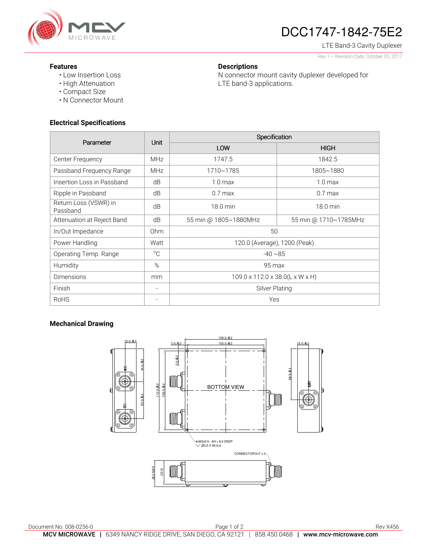

# DCC1747-1842-75E2

LTE Band-3 Cavity Duplexer Rev 1 – Revision Date: October 05, 2017

#### **Features**

- Low Insertion Loss
- High Attenuation
- Compact Size
- N Connector Mount

## **Electrical Specifications**

| Parameter                         | <b>Unit</b>     | Specification                   |                       |
|-----------------------------------|-----------------|---------------------------------|-----------------------|
|                                   |                 | LOW                             | <b>HIGH</b>           |
| Center Frequency                  | <b>MHz</b>      | 1747.5                          | 1842.5                |
| Passband Frequency Range          | <b>MHz</b>      | 1710~1785                       | 1805~1880             |
| Insertion Loss in Passband        | dB              | 1.0 <sub>max</sub>              | 1.0 <sub>max</sub>    |
| Ripple in Passband                | dB              | $0.7$ max                       | $0.7$ max             |
| Return Loss (VSWR) in<br>Passband | dB              | 18.0 min                        | 18.0 min              |
| Attenuation at Reject Band        | dB              | 55 min @ 1805~1880MHz           | 55 min @ 1710~1785MHz |
| In/Out Impedance                  | 0 <sub>hm</sub> | 50                              |                       |
| Power Handling                    | Watt            | 120.0 (Average), 1200 (Peak)    |                       |
| Operating Temp. Range             | $^{\circ}C$     | $-40 \sim 85$                   |                       |
| Humidity                          | %               | 95 max                          |                       |
| <b>Dimensions</b>                 | mm              | 109.0 x 112.0 x 38.0(L x W x H) |                       |
| Finish                            |                 | <b>Silver Plating</b>           |                       |
| <b>RoHS</b>                       |                 | Yes                             |                       |

**Descriptions** 

LTE band-3 applications.

N connector mount cavity duplexer developed for

## **Mechanical Drawing**